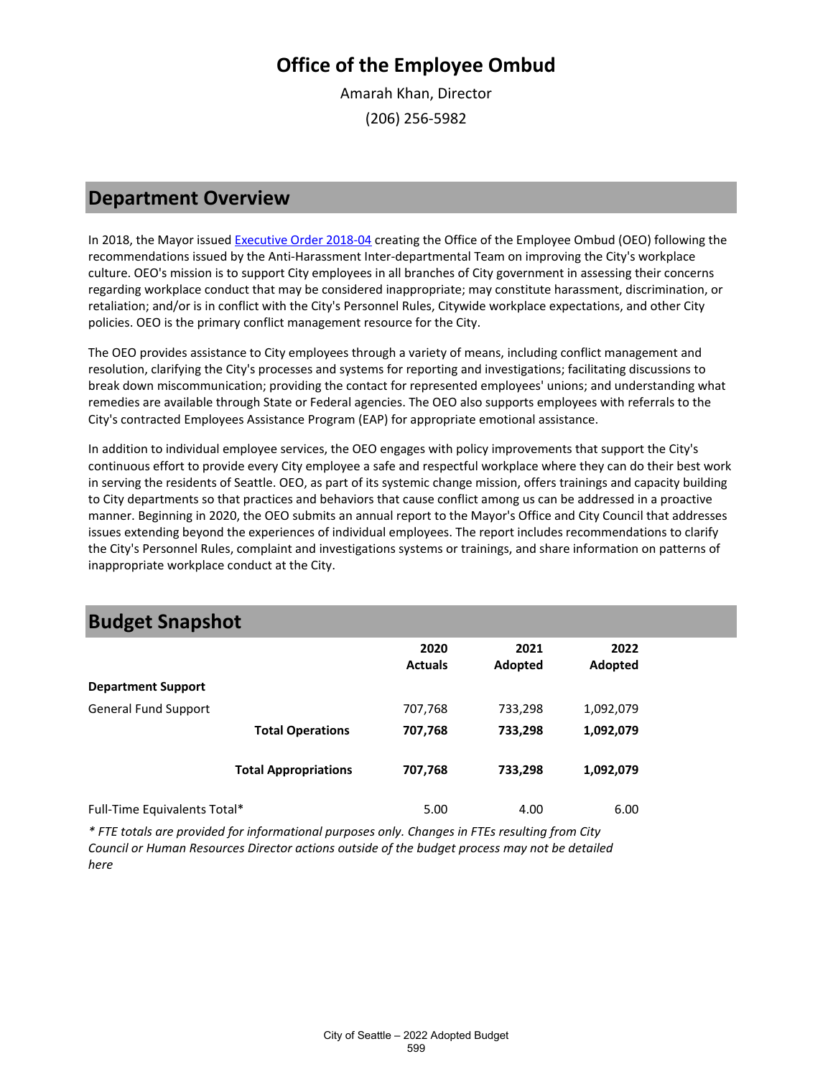Amarah Khan, Director (206) 256-5982

### **Department Overview**

In 2018, the Mayor issue[d Executive Order 2018-04](http://clerk.seattle.gov/%7ECFS/CF_320994.pdf) creating the Office of the Employee Ombud (OEO) following the recommendations issued by the Anti-Harassment Inter-departmental Team on improving the City's workplace culture. OEO's mission is to support City employees in all branches of City government in assessing their concerns regarding workplace conduct that may be considered inappropriate; may constitute harassment, discrimination, or retaliation; and/or is in conflict with the City's Personnel Rules, Citywide workplace expectations, and other City policies. OEO is the primary conflict management resource for the City.

The OEO provides assistance to City employees through a variety of means, including conflict management and resolution, clarifying the City's processes and systems for reporting and investigations; facilitating discussions to break down miscommunication; providing the contact for represented employees' unions; and understanding what remedies are available through State or Federal agencies. The OEO also supports employees with referrals to the City's contracted Employees Assistance Program (EAP) for appropriate emotional assistance.

In addition to individual employee services, the OEO engages with policy improvements that support the City's continuous effort to provide every City employee a safe and respectful workplace where they can do their best work in serving the residents of Seattle. OEO, as part of its systemic change mission, offers trainings and capacity building to City departments so that practices and behaviors that cause conflict among us can be addressed in a proactive manner. Beginning in 2020, the OEO submits an annual report to the Mayor's Office and City Council that addresses issues extending beyond the experiences of individual employees. The report includes recommendations to clarify the City's Personnel Rules, complaint and investigations systems or trainings, and share information on patterns of inappropriate workplace conduct at the City.

### **Budget Snapshot**

|                              |                             | 2020<br><b>Actuals</b> | 2021<br>Adopted | 2022<br>Adopted |  |
|------------------------------|-----------------------------|------------------------|-----------------|-----------------|--|
| <b>Department Support</b>    |                             |                        |                 |                 |  |
| <b>General Fund Support</b>  |                             | 707,768                | 733,298         | 1,092,079       |  |
|                              | <b>Total Operations</b>     | 707,768                | 733,298         | 1,092,079       |  |
|                              | <b>Total Appropriations</b> | 707,768                | 733,298         | 1,092,079       |  |
| Full-Time Equivalents Total* |                             | 5.00                   | 4.00            | 6.00            |  |

*\* FTE totals are provided for informational purposes only. Changes in FTEs resulting from City Council or Human Resources Director actions outside of the budget process may not be detailed here*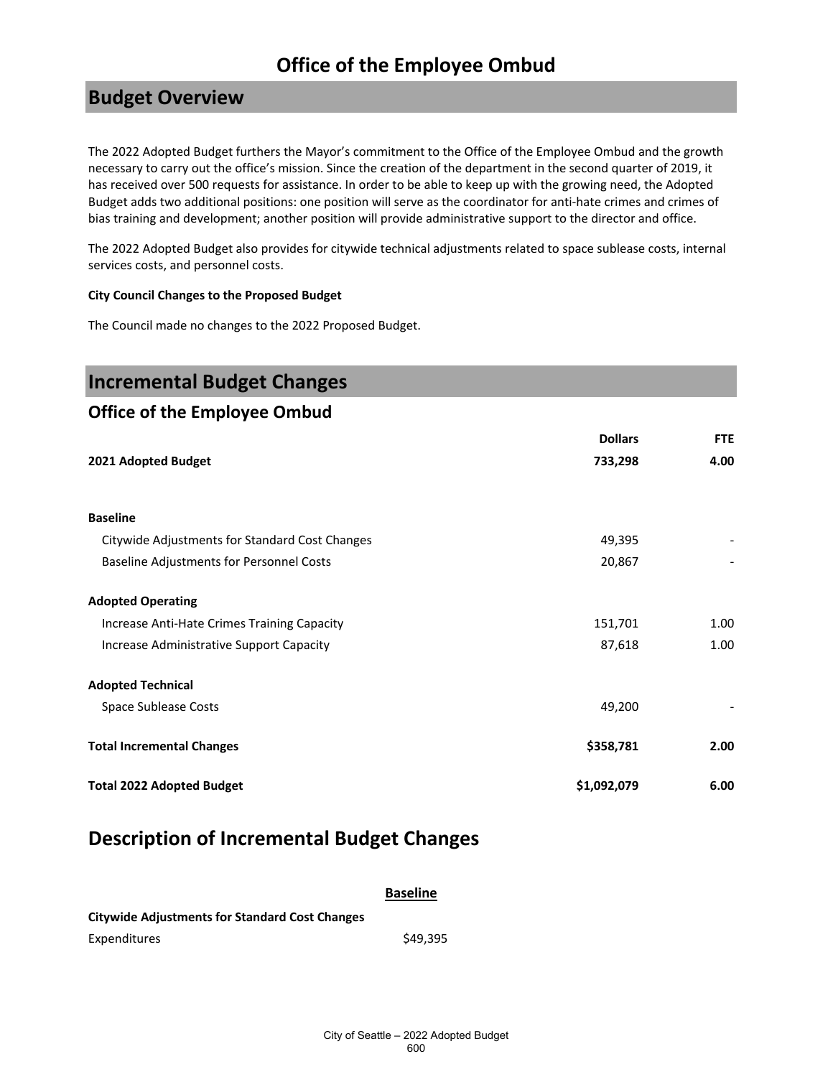### **Budget Overview**

The 2022 Adopted Budget furthers the Mayor's commitment to the Office of the Employee Ombud and the growth necessary to carry out the office's mission. Since the creation of the department in the second quarter of 2019, it has received over 500 requests for assistance. In order to be able to keep up with the growing need, the Adopted Budget adds two additional positions: one position will serve as the coordinator for anti-hate crimes and crimes of bias training and development; another position will provide administrative support to the director and office.

The 2022 Adopted Budget also provides for citywide technical adjustments related to space sublease costs, internal services costs, and personnel costs.

#### **City Council Changes to the Proposed Budget**

The Council made no changes to the 2022 Proposed Budget.

| <b>Incremental Budget Changes</b>              |                |            |
|------------------------------------------------|----------------|------------|
| <b>Office of the Employee Ombud</b>            |                |            |
|                                                | <b>Dollars</b> | <b>FTE</b> |
| 2021 Adopted Budget                            | 733,298        | 4.00       |
| <b>Baseline</b>                                |                |            |
| Citywide Adjustments for Standard Cost Changes | 49,395         |            |
| Baseline Adjustments for Personnel Costs       | 20,867         |            |
| <b>Adopted Operating</b>                       |                |            |
| Increase Anti-Hate Crimes Training Capacity    | 151,701        | 1.00       |
| Increase Administrative Support Capacity       | 87,618         | 1.00       |
| <b>Adopted Technical</b>                       |                |            |
| Space Sublease Costs                           | 49,200         |            |
| <b>Total Incremental Changes</b>               | \$358,781      | 2.00       |
| <b>Total 2022 Adopted Budget</b>               | \$1,092,079    | 6.00       |

### **Description of Incremental Budget Changes**

| <b>Baseline</b> |  |  |
|-----------------|--|--|
|                 |  |  |

| <b>Citywide Adjustments for Standard Cost Changes</b> |          |
|-------------------------------------------------------|----------|
| Expenditures                                          | \$49.395 |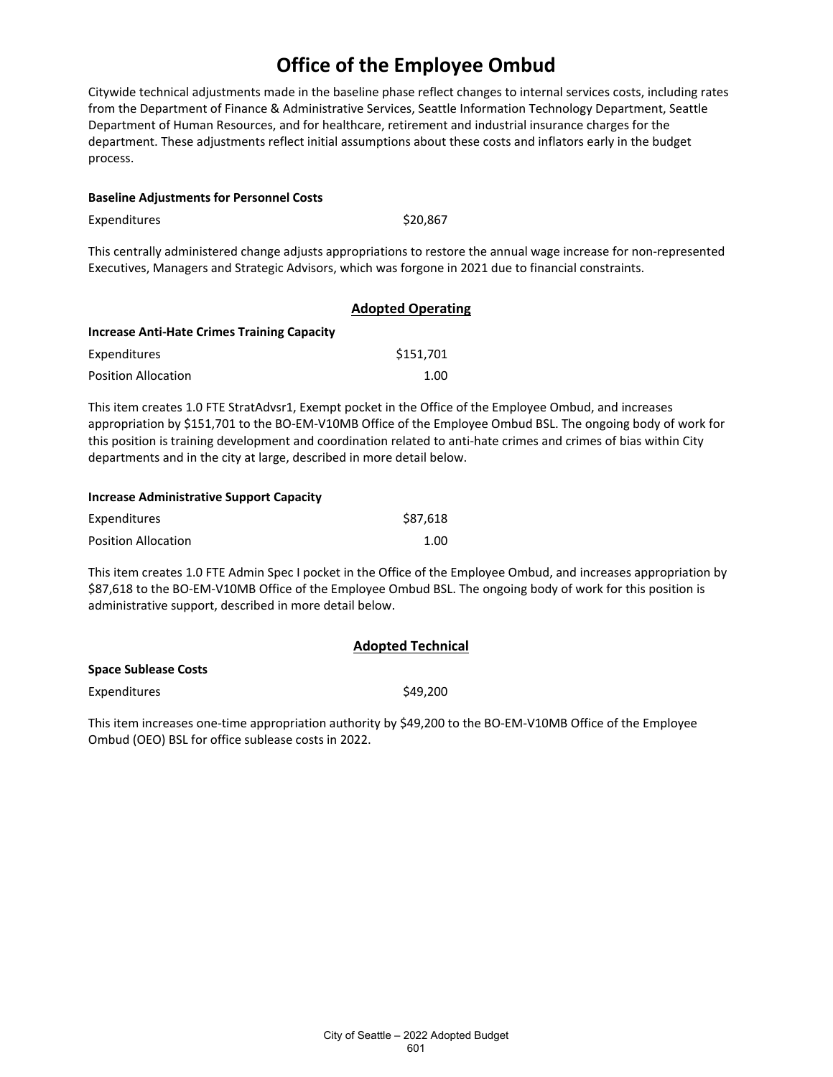Citywide technical adjustments made in the baseline phase reflect changes to internal services costs, including rates from the Department of Finance & Administrative Services, Seattle Information Technology Department, Seattle Department of Human Resources, and for healthcare, retirement and industrial insurance charges for the department. These adjustments reflect initial assumptions about these costs and inflators early in the budget process.

#### **Baseline Adjustments for Personnel Costs**

Expenditures \$20,867

This centrally administered change adjusts appropriations to restore the annual wage increase for non-represented Executives, Managers and Strategic Advisors, which was forgone in 2021 due to financial constraints.

|                                             | <b>Adopted Operating</b> |
|---------------------------------------------|--------------------------|
| Increase Anti-Hate Crimes Training Capacity |                          |
| Expenditures                                | \$151.701                |
| <b>Position Allocation</b>                  | 1.00                     |

This item creates 1.0 FTE StratAdvsr1, Exempt pocket in the Office of the Employee Ombud, and increases appropriation by \$151,701 to the BO-EM-V10MB Office of the Employee Ombud BSL. The ongoing body of work for this position is training development and coordination related to anti-hate crimes and crimes of bias within City departments and in the city at large, described in more detail below.

#### **Increase Administrative Support Capacity**

| Expenditures               | \$87.618 |
|----------------------------|----------|
| <b>Position Allocation</b> | 1.00     |

This item creates 1.0 FTE Admin Spec I pocket in the Office of the Employee Ombud, and increases appropriation by \$87,618 to the BO-EM-V10MB Office of the Employee Ombud BSL. The ongoing body of work for this position is administrative support, described in more detail below.

**Adopted Technical**

|                      | <b>AUUULCU TECHINGI</b> |
|----------------------|-------------------------|
| Space Sublease Costs |                         |
| <b>Expenditures</b>  | \$49,200                |

This item increases one-time appropriation authority by \$49,200 to the BO-EM-V10MB Office of the Employee Ombud (OEO) BSL for office sublease costs in 2022.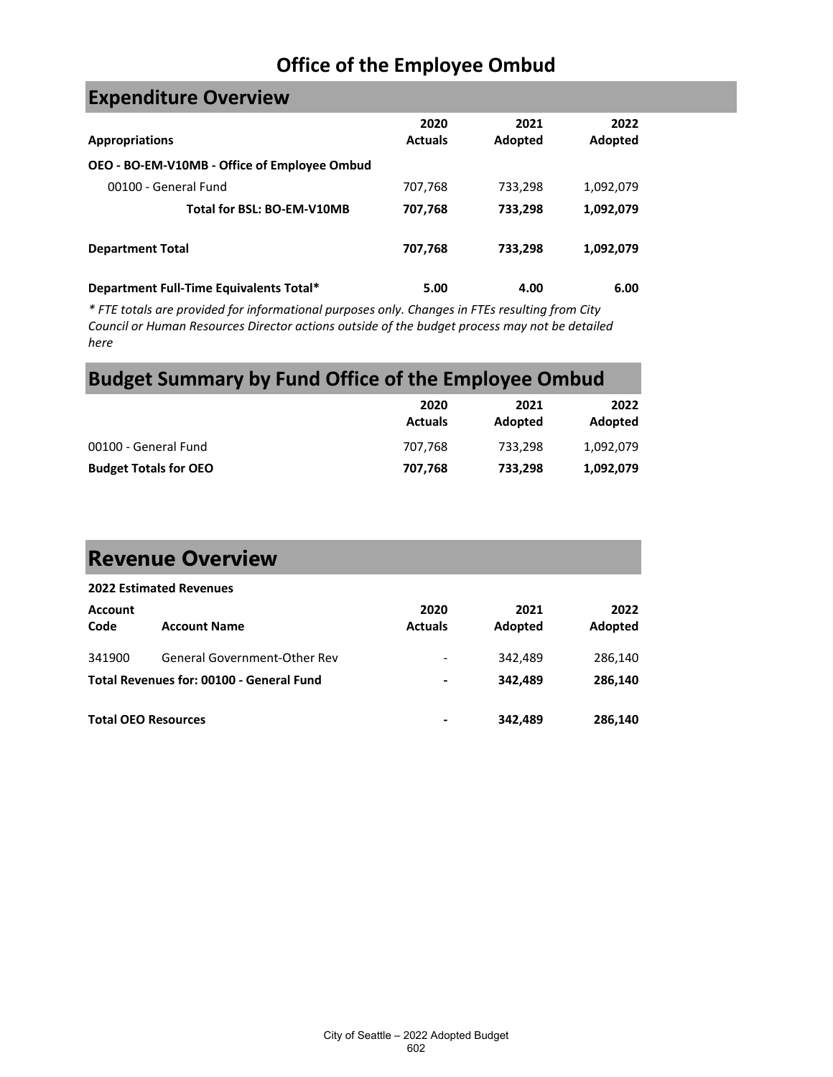## **Expenditure Overview**

| <b>Appropriations</b>                        | 2020<br><b>Actuals</b> | 2021<br>Adopted | 2022<br>Adopted |
|----------------------------------------------|------------------------|-----------------|-----------------|
| OEO - BO-EM-V10MB - Office of Employee Ombud |                        |                 |                 |
| 00100 - General Fund                         | 707,768                | 733,298         | 1,092,079       |
| Total for BSL: BO-EM-V10MB                   | 707,768                | 733,298         | 1,092,079       |
| <b>Department Total</b>                      | 707,768                | 733,298         | 1,092,079       |
| Department Full-Time Equivalents Total*      | 5.00                   | 4.00            | 6.00            |

*\* FTE totals are provided for informational purposes only. Changes in FTEs resulting from City Council or Human Resources Director actions outside of the budget process may not be detailed here*

## **Budget Summary by Fund Office of the Employee Ombud**

|                              | 2020<br><b>Actuals</b> | 2021<br>Adopted | 2022<br>Adopted |
|------------------------------|------------------------|-----------------|-----------------|
| 00100 - General Fund         | 707.768                | 733.298         | 1,092,079       |
| <b>Budget Totals for OEO</b> | 707.768                | 733,298         | 1,092,079       |

# **Revenue Overview**

|                            | <b>2022 Estimated Revenues</b>           |                        |                 |                 |
|----------------------------|------------------------------------------|------------------------|-----------------|-----------------|
| <b>Account</b><br>Code     | <b>Account Name</b>                      | 2020<br><b>Actuals</b> | 2021<br>Adopted | 2022<br>Adopted |
| 341900                     | General Government-Other Rev             | -                      | 342,489         | 286,140         |
|                            | Total Revenues for: 00100 - General Fund | ۰                      | 342.489         | 286,140         |
| <b>Total OEO Resources</b> |                                          | -                      | 342,489         | 286,140         |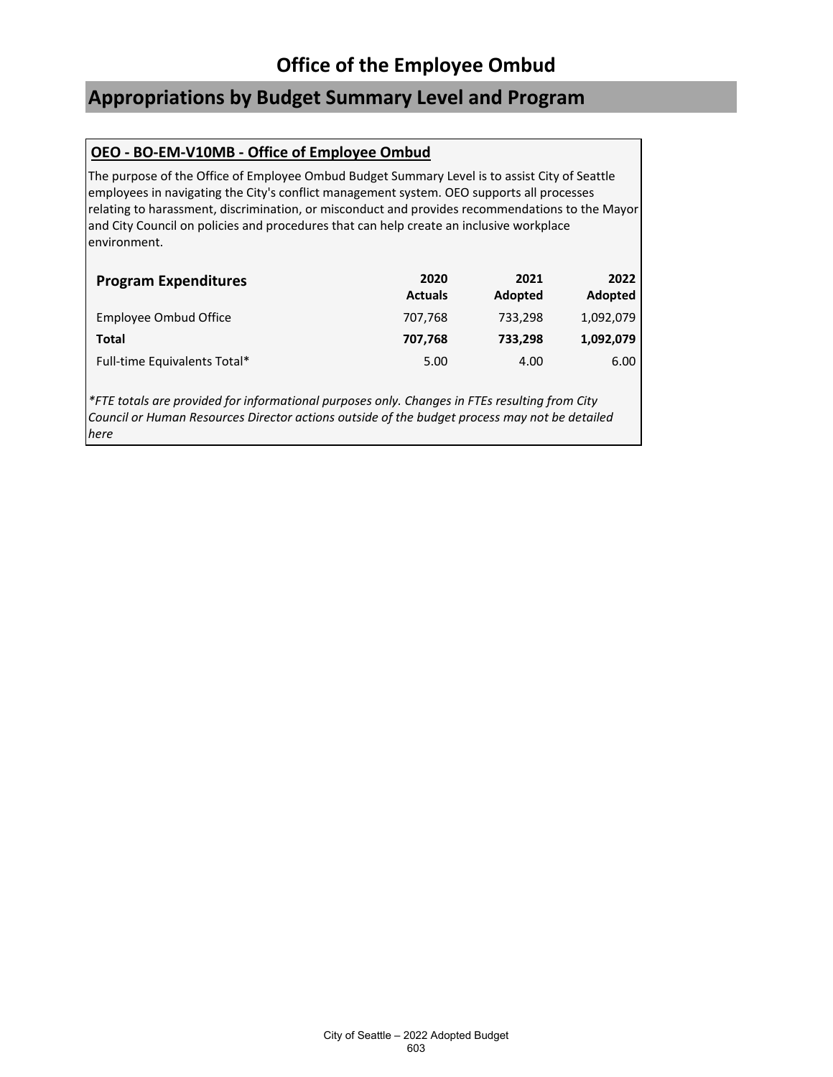### **Appropriations by Budget Summary Level and Program**

### **OEO - BO-EM-V10MB - Office of Employee Ombud**

The purpose of the Office of Employee Ombud Budget Summary Level is to assist City of Seattle employees in navigating the City's conflict management system. OEO supports all processes relating to harassment, discrimination, or misconduct and provides recommendations to the Mayor and City Council on policies and procedures that can help create an inclusive workplace environment.

| <b>Program Expenditures</b>  | 2020<br><b>Actuals</b> | 2021<br>Adopted | 2022<br>Adopted |
|------------------------------|------------------------|-----------------|-----------------|
| Employee Ombud Office        | 707,768                | 733.298         | 1,092,079       |
| Total                        | 707.768                | 733,298         | 1,092,079       |
| Full-time Equivalents Total* | 5.00                   | 4.00            | 6.00            |

*\*FTE totals are provided for informational purposes only. Changes in FTEs resulting from City Council or Human Resources Director actions outside of the budget process may not be detailed here*